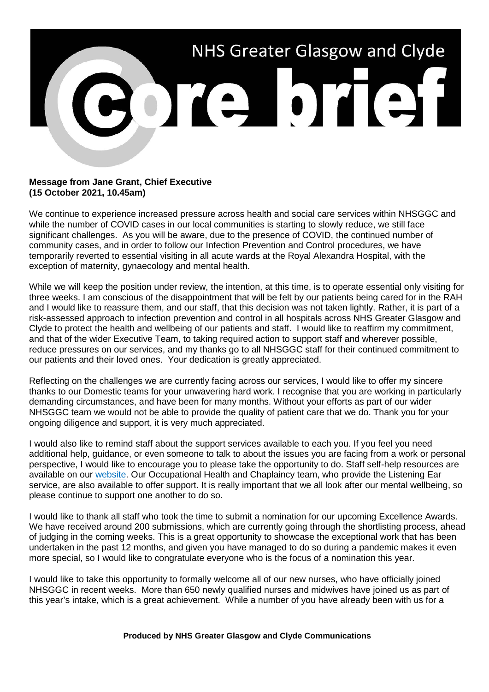

## **Message from Jane Grant, Chief Executive (15 October 2021, 10.45am)**

We continue to experience increased pressure across health and social care services within NHSGGC and while the number of COVID cases in our local communities is starting to slowly reduce, we still face significant challenges. As you will be aware, due to the presence of COVID, the continued number of community cases, and in order to follow our Infection Prevention and Control procedures, we have temporarily reverted to essential visiting in all acute wards at the Royal Alexandra Hospital, with the exception of maternity, gynaecology and mental health.

While we will keep the position under review, the intention, at this time, is to operate essential only visiting for three weeks. I am conscious of the disappointment that will be felt by our patients being cared for in the RAH and I would like to reassure them, and our staff, that this decision was not taken lightly. Rather, it is part of a risk-assessed approach to infection prevention and control in all hospitals across NHS Greater Glasgow and Clyde to protect the health and wellbeing of our patients and staff. I would like to reaffirm my commitment, and that of the wider Executive Team, to taking required action to support staff and wherever possible, reduce pressures on our services, and my thanks go to all NHSGGC staff for their continued commitment to our patients and their loved ones. Your dedication is greatly appreciated.

Reflecting on the challenges we are currently facing across our services, I would like to offer my sincere thanks to our Domestic teams for your unwavering hard work. I recognise that you are working in particularly demanding circumstances, and have been for many months. Without your efforts as part of our wider NHSGGC team we would not be able to provide the quality of patient care that we do. Thank you for your ongoing diligence and support, it is very much appreciated.

I would also like to remind staff about the support services available to each you. If you feel you need additional help, guidance, or even someone to talk to about the issues you are facing from a work or personal perspective, I would like to encourage you to please take the opportunity to do. Staff self-help resources are available on our [website.](https://www.nhsggc.org.uk/working-with-us/hr-connect/self-help-for-staff/) Our Occupational Health and Chaplaincy team, who provide the Listening Ear service, are also available to offer support. It is really important that we all look after our mental wellbeing, so please continue to support one another to do so.

I would like to thank all staff who took the time to submit a nomination for our upcoming Excellence Awards. We have received around 200 submissions, which are currently going through the shortlisting process, ahead of judging in the coming weeks. This is a great opportunity to showcase the exceptional work that has been undertaken in the past 12 months, and given you have managed to do so during a pandemic makes it even more special, so I would like to congratulate everyone who is the focus of a nomination this year.

I would like to take this opportunity to formally welcome all of our new nurses, who have officially joined NHSGGC in recent weeks. More than 650 newly qualified nurses and midwives have joined us as part of this year's intake, which is a great achievement. While a number of you have already been with us for a